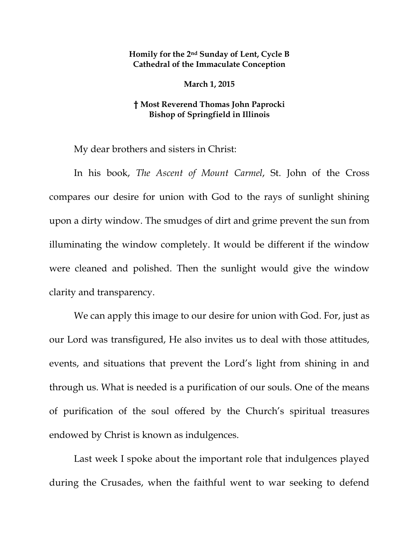## **Homily for the 2nd Sunday of Lent, Cycle B Cathedral of the Immaculate Conception**

**March 1, 2015** 

## **† Most Reverend Thomas John Paprocki Bishop of Springfield in Illinois**

My dear brothers and sisters in Christ:

In his book, *The Ascent of Mount Carmel*, St. John of the Cross compares our desire for union with God to the rays of sunlight shining upon a dirty window. The smudges of dirt and grime prevent the sun from illuminating the window completely. It would be different if the window were cleaned and polished. Then the sunlight would give the window clarity and transparency.

We can apply this image to our desire for union with God. For, just as our Lord was transfigured, He also invites us to deal with those attitudes, events, and situations that prevent the Lord's light from shining in and through us. What is needed is a purification of our souls. One of the means of purification of the soul offered by the Church's spiritual treasures endowed by Christ is known as indulgences.

Last week I spoke about the important role that indulgences played during the Crusades, when the faithful went to war seeking to defend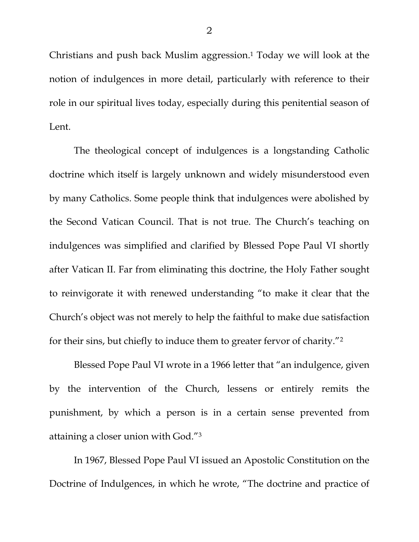Christians and push back Muslim aggression.<sup>1</sup> Today we will look at the notion of indulgences in more detail, particularly with reference to their role in our spiritual lives today, especially during this penitential season of Lent.

The theological concept of indulgences is a longstanding Catholic doctrine which itself is largely unknown and widely misunderstood even by many Catholics. Some people think that indulgences were abolished by the Second Vatican Council. That is not true. The Church's teaching on indulgences was simplified and clarified by Blessed Pope Paul VI shortly after Vatican II. Far from eliminating this doctrine, the Holy Father sought to reinvigorate it with renewed understanding "to make it clear that the Church's object was not merely to help the faithful to make due satisfaction for their sins, but chiefly to induce them to greater fervor of charity."2

Blessed Pope Paul VI wrote in a 1966 letter that "an indulgence, given by the intervention of the Church, lessens or entirely remits the punishment, by which a person is in a certain sense prevented from attaining a closer union with God."3

In 1967, Blessed Pope Paul VI issued an Apostolic Constitution on the Doctrine of Indulgences, in which he wrote, "The doctrine and practice of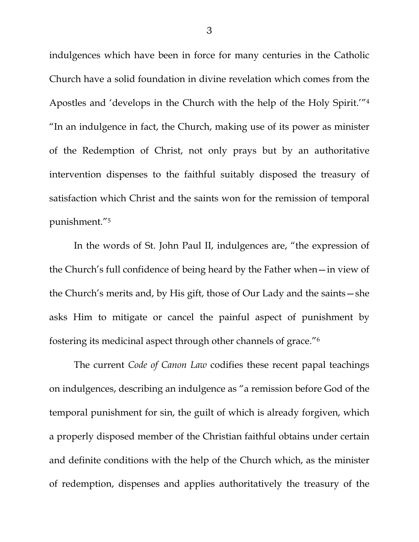indulgences which have been in force for many centuries in the Catholic Church have a solid foundation in divine revelation which comes from the Apostles and 'develops in the Church with the help of the Holy Spirit.'"4 "In an indulgence in fact, the Church, making use of its power as minister of the Redemption of Christ, not only prays but by an authoritative intervention dispenses to the faithful suitably disposed the treasury of satisfaction which Christ and the saints won for the remission of temporal punishment."5

In the words of St. John Paul II, indulgences are, "the expression of the Church's full confidence of being heard by the Father when—in view of the Church's merits and, by His gift, those of Our Lady and the saints—she asks Him to mitigate or cancel the painful aspect of punishment by fostering its medicinal aspect through other channels of grace."6

The current *Code of Canon Law* codifies these recent papal teachings on indulgences, describing an indulgence as "a remission before God of the temporal punishment for sin, the guilt of which is already forgiven, which a properly disposed member of the Christian faithful obtains under certain and definite conditions with the help of the Church which, as the minister of redemption, dispenses and applies authoritatively the treasury of the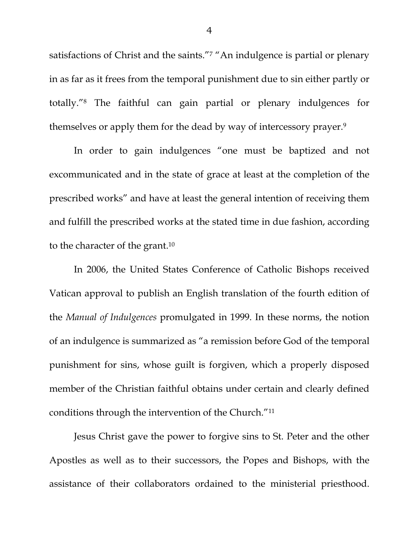satisfactions of Christ and the saints."<sup>7</sup> "An indulgence is partial or plenary in as far as it frees from the temporal punishment due to sin either partly or totally."8 The faithful can gain partial or plenary indulgences for themselves or apply them for the dead by way of intercessory prayer.9

In order to gain indulgences "one must be baptized and not excommunicated and in the state of grace at least at the completion of the prescribed works" and have at least the general intention of receiving them and fulfill the prescribed works at the stated time in due fashion, according to the character of the grant.10

In 2006, the United States Conference of Catholic Bishops received Vatican approval to publish an English translation of the fourth edition of the *Manual of Indulgences* promulgated in 1999. In these norms, the notion of an indulgence is summarized as "a remission before God of the temporal punishment for sins, whose guilt is forgiven, which a properly disposed member of the Christian faithful obtains under certain and clearly defined conditions through the intervention of the Church."11

Jesus Christ gave the power to forgive sins to St. Peter and the other Apostles as well as to their successors, the Popes and Bishops, with the assistance of their collaborators ordained to the ministerial priesthood.

4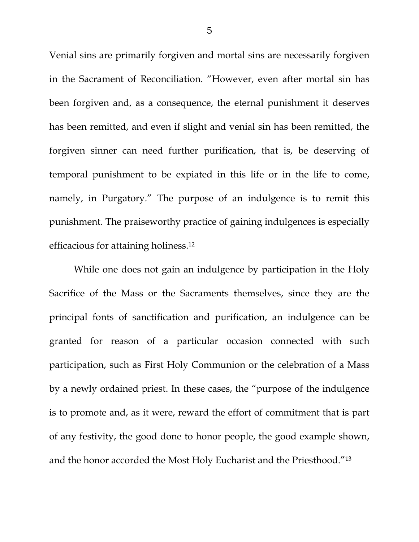Venial sins are primarily forgiven and mortal sins are necessarily forgiven in the Sacrament of Reconciliation. "However, even after mortal sin has been forgiven and, as a consequence, the eternal punishment it deserves has been remitted, and even if slight and venial sin has been remitted, the forgiven sinner can need further purification, that is, be deserving of temporal punishment to be expiated in this life or in the life to come, namely, in Purgatory." The purpose of an indulgence is to remit this punishment. The praiseworthy practice of gaining indulgences is especially efficacious for attaining holiness.12

While one does not gain an indulgence by participation in the Holy Sacrifice of the Mass or the Sacraments themselves, since they are the principal fonts of sanctification and purification, an indulgence can be granted for reason of a particular occasion connected with such participation, such as First Holy Communion or the celebration of a Mass by a newly ordained priest. In these cases, the "purpose of the indulgence is to promote and, as it were, reward the effort of commitment that is part of any festivity, the good done to honor people, the good example shown, and the honor accorded the Most Holy Eucharist and the Priesthood."13

5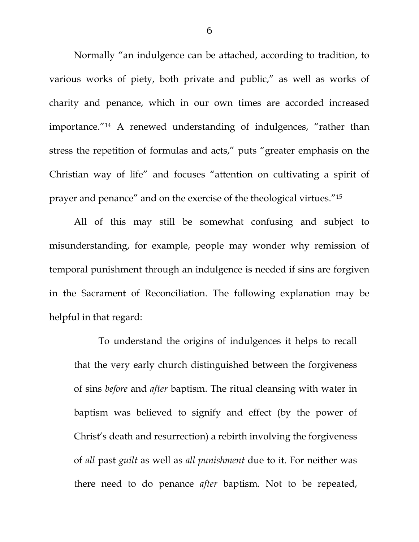Normally "an indulgence can be attached, according to tradition, to various works of piety, both private and public," as well as works of charity and penance, which in our own times are accorded increased importance."14 A renewed understanding of indulgences, "rather than stress the repetition of formulas and acts," puts "greater emphasis on the Christian way of life" and focuses "attention on cultivating a spirit of prayer and penance" and on the exercise of the theological virtues."15

All of this may still be somewhat confusing and subject to misunderstanding, for example, people may wonder why remission of temporal punishment through an indulgence is needed if sins are forgiven in the Sacrament of Reconciliation. The following explanation may be helpful in that regard:

To understand the origins of indulgences it helps to recall that the very early church distinguished between the forgiveness of sins *before* and *after* baptism. The ritual cleansing with water in baptism was believed to signify and effect (by the power of Christ's death and resurrection) a rebirth involving the forgiveness of *all* past *guilt* as well as *all punishment* due to it. For neither was there need to do penance *after* baptism. Not to be repeated,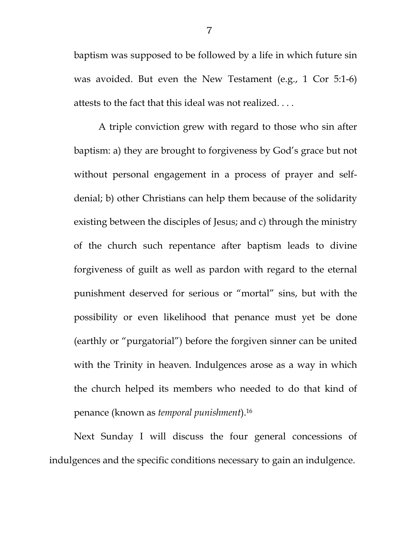baptism was supposed to be followed by a life in which future sin was avoided. But even the New Testament (e.g., 1 Cor 5:1-6) attests to the fact that this ideal was not realized. . . .

A triple conviction grew with regard to those who sin after baptism: a) they are brought to forgiveness by God's grace but not without personal engagement in a process of prayer and selfdenial; b) other Christians can help them because of the solidarity existing between the disciples of Jesus; and c) through the ministry of the church such repentance after baptism leads to divine forgiveness of guilt as well as pardon with regard to the eternal punishment deserved for serious or "mortal" sins, but with the possibility or even likelihood that penance must yet be done (earthly or "purgatorial") before the forgiven sinner can be united with the Trinity in heaven. Indulgences arose as a way in which the church helped its members who needed to do that kind of penance (known as *temporal punishment*).16

 Next Sunday I will discuss the four general concessions of indulgences and the specific conditions necessary to gain an indulgence.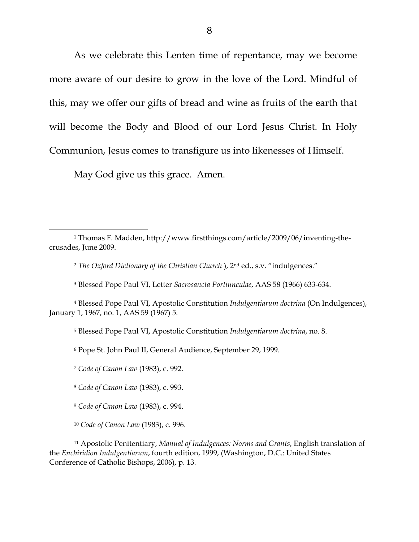As we celebrate this Lenten time of repentance, may we become more aware of our desire to grow in the love of the Lord. Mindful of this, may we offer our gifts of bread and wine as fruits of the earth that will become the Body and Blood of our Lord Jesus Christ. In Holy Communion, Jesus comes to transfigure us into likenesses of Himself.

May God give us this grace. Amen.

 $\overline{a}$ 

<sup>1</sup> Thomas F. Madden, http://www.firstthings.com/article/2009/06/inventing-thecrusades, June 2009.

<sup>2</sup> *The Oxford Dictionary of the Christian Church* ), 2nd ed., s.v. "indulgences."

<sup>3</sup> Blessed Pope Paul VI, Letter *Sacrosancta Portiunculae*, AAS 58 (1966) 633-634.

<sup>4</sup> Blessed Pope Paul VI, Apostolic Constitution *Indulgentiarum doctrina* (On Indulgences), January 1, 1967, no. 1, AAS 59 (1967) 5.

<sup>5</sup> Blessed Pope Paul VI, Apostolic Constitution *Indulgentiarum doctrina*, no. 8.

<sup>6</sup> Pope St. John Paul II, General Audience, September 29, 1999.

<sup>7</sup> *Code of Canon Law* (1983), c. 992.

<sup>8</sup> *Code of Canon Law* (1983), c. 993.

<sup>9</sup> *Code of Canon Law* (1983), c. 994.

<sup>10</sup> *Code of Canon Law* (1983), c. 996.

<sup>11</sup> Apostolic Penitentiary, *Manual of Indulgences: Norms and Grants*, English translation of the *Enchiridion Indulgentiarum*, fourth edition, 1999, (Washington, D.C.: United States Conference of Catholic Bishops, 2006), p. 13.